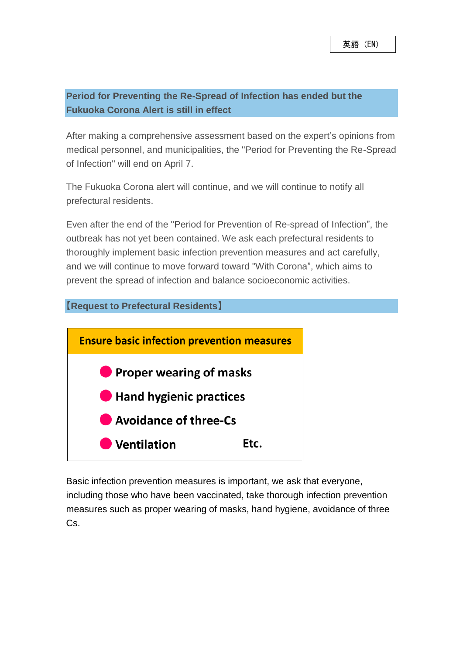## **Period for Preventing the Re-Spread of Infection has ended but the Fukuoka Corona Alert is still in effect**

After making a comprehensive assessment based on the expert's opinions from medical personnel, and municipalities, the "Period for Preventing the Re-Spread of Infection" will end on April 7.

The Fukuoka Corona alert will continue, and we will continue to notify all prefectural residents.

Even after the end of the "Period for Prevention of Re-spread of Infection", the outbreak has not yet been contained. We ask each prefectural residents to thoroughly implement basic infection prevention measures and act carefully, and we will continue to move forward toward "With Corona", which aims to prevent the spread of infection and balance socioeconomic activities.

## **【Request to Prefectural Residents】**



Basic infection prevention measures is important, we ask that everyone, including those who have been vaccinated, take thorough infection prevention measures such as proper wearing of masks, hand hygiene, avoidance of three Cs.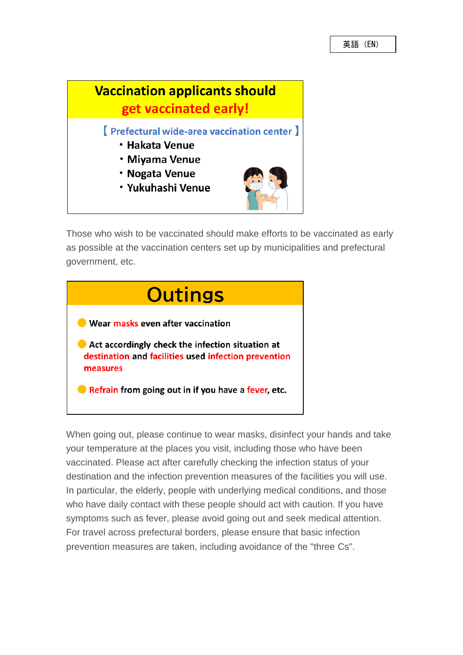

Those who wish to be vaccinated should make efforts to be vaccinated as early as possible at the vaccination centers set up by municipalities and prefectural government, etc.



When going out, please continue to wear masks, disinfect your hands and take your temperature at the places you visit, including those who have been vaccinated. Please act after carefully checking the infection status of your destination and the infection prevention measures of the facilities you will use. In particular, the elderly, people with underlying medical conditions, and those who have daily contact with these people should act with caution. If you have symptoms such as fever, please avoid going out and seek medical attention. For travel across prefectural borders, please ensure that basic infection prevention measures are taken, including avoidance of the "three Cs".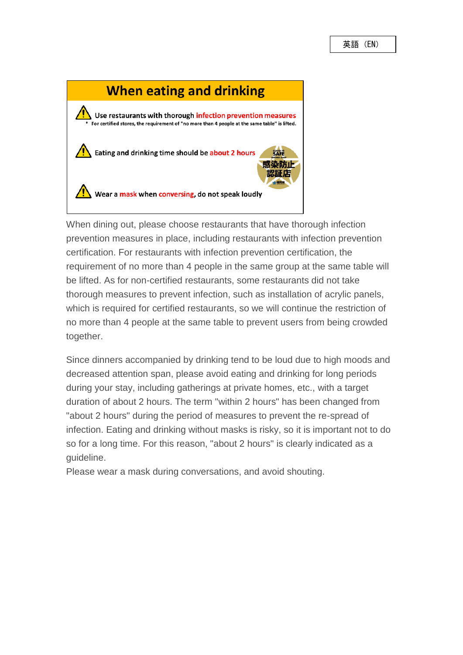

When dining out, please choose restaurants that have thorough infection prevention measures in place, including restaurants with infection prevention certification. For restaurants with infection prevention certification, the requirement of no more than 4 people in the same group at the same table will be lifted. As for non-certified restaurants, some restaurants did not take thorough measures to prevent infection, such as installation of acrylic panels, which is required for certified restaurants, so we will continue the restriction of no more than 4 people at the same table to prevent users from being crowded together.

Since dinners accompanied by drinking tend to be loud due to high moods and decreased attention span, please avoid eating and drinking for long periods during your stay, including gatherings at private homes, etc., with a target duration of about 2 hours. The term "within 2 hours" has been changed from "about 2 hours" during the period of measures to prevent the re-spread of infection. Eating and drinking without masks is risky, so it is important not to do so for a long time. For this reason, "about 2 hours" is clearly indicated as a guideline.

Please wear a mask during conversations, and avoid shouting.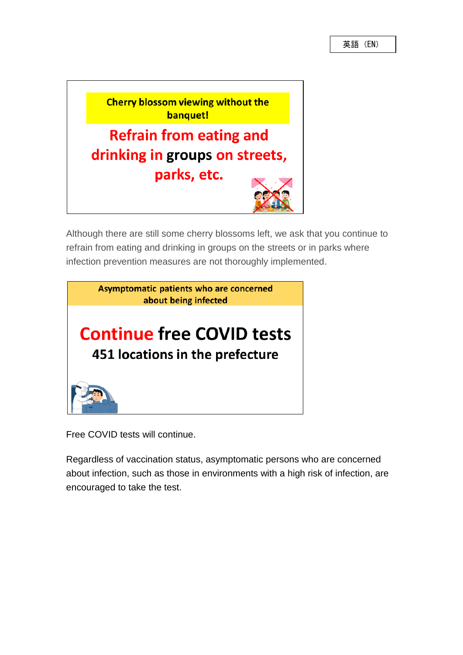

Although there are still some cherry blossoms left, we ask that you continue to refrain from eating and drinking in groups on the streets or in parks where infection prevention measures are not thoroughly implemented.



Free COVID tests will continue.

Regardless of vaccination status, asymptomatic persons who are concerned about infection, such as those in environments with a high risk of infection, are encouraged to take the test.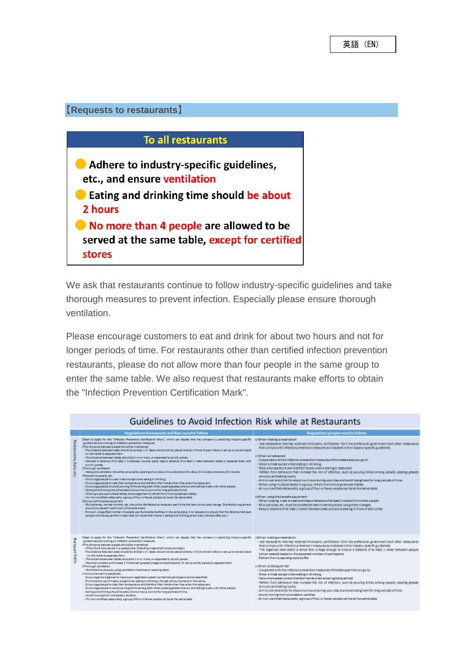## **【Requests to restaurants】**



We ask that restaurants continue to follow industry-specific quidelines and take thorough measures to prevent infection. Especially please ensure thorough ventilation.

Please encourage customers to eat and drink for about two hours and not for longer periods of time. For restaurants other than certified infection prevention restaurants, please do not allow more than four people in the same group to enter the same table. We also request that restaurants make efforts to obtain the "Infection Prevention Certification Mark".